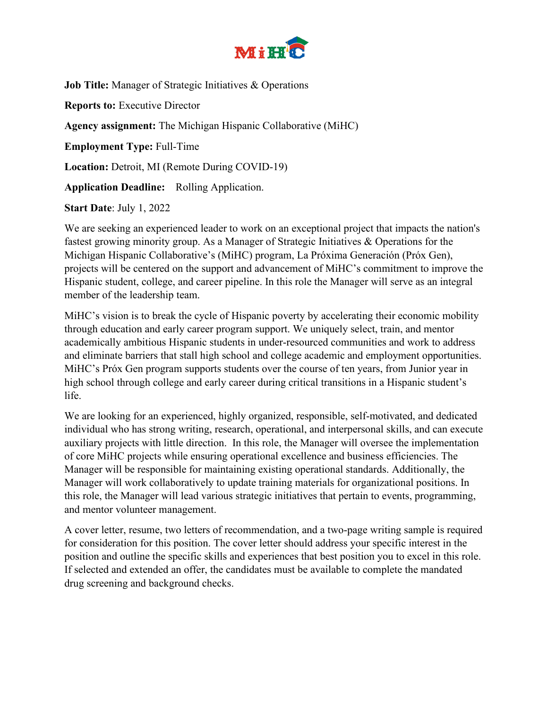

**Job Title:** Manager of Strategic Initiatives & Operations **Reports to:** Executive Director **Agency assignment:** The Michigan Hispanic Collaborative (MiHC) **Employment Type:** Full-Time **Location:** Detroit, MI (Remote During COVID-19) **Application Deadline:** Rolling Application.

**Start Date**: July 1, 2022

We are seeking an experienced leader to work on an exceptional project that impacts the nation's fastest growing minority group. As a Manager of Strategic Initiatives & Operations for the Michigan Hispanic Collaborative's (MiHC) program, La Próxima Generación (Próx Gen), projects will be centered on the support and advancement of MiHC's commitment to improve the Hispanic student, college, and career pipeline. In this role the Manager will serve as an integral member of the leadership team.

MiHC's vision is to break the cycle of Hispanic poverty by accelerating their economic mobility through education and early career program support. We uniquely select, train, and mentor academically ambitious Hispanic students in under-resourced communities and work to address and eliminate barriers that stall high school and college academic and employment opportunities. MiHC's Próx Gen program supports students over the course of ten years, from Junior year in high school through college and early career during critical transitions in a Hispanic student's life.

We are looking for an experienced, highly organized, responsible, self-motivated, and dedicated individual who has strong writing, research, operational, and interpersonal skills, and can execute auxiliary projects with little direction. In this role, the Manager will oversee the implementation of core MiHC projects while ensuring operational excellence and business efficiencies. The Manager will be responsible for maintaining existing operational standards. Additionally, the Manager will work collaboratively to update training materials for organizational positions. In this role, the Manager will lead various strategic initiatives that pertain to events, programming, and mentor volunteer management.

A cover letter, resume, two letters of recommendation, and a two-page writing sample is required for consideration for this position. The cover letter should address your specific interest in the position and outline the specific skills and experiences that best position you to excel in this role. If selected and extended an offer, the candidates must be available to complete the mandated drug screening and background checks.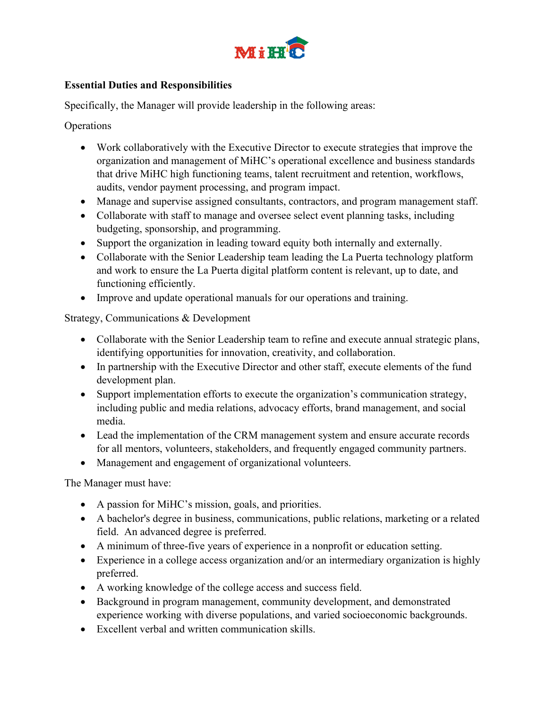

## **Essential Duties and Responsibilities**

Specifically, the Manager will provide leadership in the following areas:

**Operations** 

- Work collaboratively with the Executive Director to execute strategies that improve the organization and management of MiHC's operational excellence and business standards that drive MiHC high functioning teams, talent recruitment and retention, workflows, audits, vendor payment processing, and program impact.
- Manage and supervise assigned consultants, contractors, and program management staff.
- Collaborate with staff to manage and oversee select event planning tasks, including budgeting, sponsorship, and programming.
- Support the organization in leading toward equity both internally and externally.
- Collaborate with the Senior Leadership team leading the La Puerta technology platform and work to ensure the La Puerta digital platform content is relevant, up to date, and functioning efficiently.
- Improve and update operational manuals for our operations and training.

Strategy, Communications & Development

- Collaborate with the Senior Leadership team to refine and execute annual strategic plans, identifying opportunities for innovation, creativity, and collaboration.
- In partnership with the Executive Director and other staff, execute elements of the fund development plan.
- Support implementation efforts to execute the organization's communication strategy, including public and media relations, advocacy efforts, brand management, and social media.
- Lead the implementation of the CRM management system and ensure accurate records for all mentors, volunteers, stakeholders, and frequently engaged community partners.
- Management and engagement of organizational volunteers.

The Manager must have:

- A passion for MiHC's mission, goals, and priorities.
- A bachelor's degree in business, communications, public relations, marketing or a related field. An advanced degree is preferred.
- A minimum of three-five years of experience in a nonprofit or education setting.
- Experience in a college access organization and/or an intermediary organization is highly preferred.
- A working knowledge of the college access and success field.
- Background in program management, community development, and demonstrated experience working with diverse populations, and varied socioeconomic backgrounds.
- Excellent verbal and written communication skills.